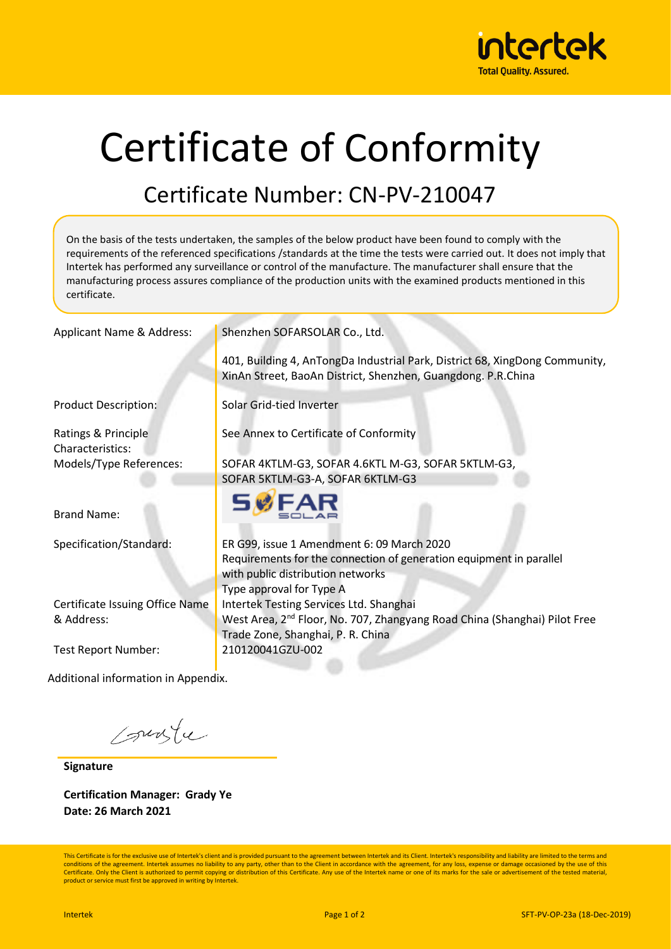

## Certificate of Conformity

## Certificate Number: CN-PV-210047

On the basis of the tests undertaken, the samples of the below product have been found to comply with the requirements of the referenced specifications /standards at the time the tests were carried out. It does not imply that Intertek has performed any surveillance or control of the manufacture. The manufacturer shall ensure that the manufacturing process assures compliance of the production units with the examined products mentioned in this certificate.

| Applicant Name & Address:               | Shenzhen SOFARSOLAR Co., Ltd.                                                                                                                                                      |  |  |  |  |
|-----------------------------------------|------------------------------------------------------------------------------------------------------------------------------------------------------------------------------------|--|--|--|--|
|                                         | 401, Building 4, AnTongDa Industrial Park, District 68, XingDong Community,<br>XinAn Street, BaoAn District, Shenzhen, Guangdong. P.R.China                                        |  |  |  |  |
| <b>Product Description:</b>             | Solar Grid-tied Inverter                                                                                                                                                           |  |  |  |  |
| Ratings & Principle<br>Characteristics: | See Annex to Certificate of Conformity                                                                                                                                             |  |  |  |  |
| Models/Type References:                 | SOFAR 4KTLM-G3, SOFAR 4.6KTL M-G3, SOFAR 5KTLM-G3,<br>SOFAR 5KTLM-G3-A, SOFAR 6KTLM-G3                                                                                             |  |  |  |  |
| <b>Brand Name:</b>                      | <b>SWFAR</b>                                                                                                                                                                       |  |  |  |  |
| Specification/Standard:                 | ER G99, issue 1 Amendment 6: 09 March 2020<br>Requirements for the connection of generation equipment in parallel<br>with public distribution networks<br>Type approval for Type A |  |  |  |  |
| Certificate Issuing Office Name         | Intertek Testing Services Ltd. Shanghai                                                                                                                                            |  |  |  |  |
| & Address:                              | West Area, 2 <sup>nd</sup> Floor, No. 707, Zhangyang Road China (Shanghai) Pilot Free<br>Trade Zone, Shanghai, P. R. China                                                         |  |  |  |  |
| <b>Test Report Number:</b>              | 210120041GZU-002                                                                                                                                                                   |  |  |  |  |
| $\blacksquare$                          |                                                                                                                                                                                    |  |  |  |  |

Additional information in Appendix.

sunte

**Signature**

**Certification Manager: Grady Ye Date: 26 March 2021**

This Certificate is for the exclusive use of Intertek's client and is provided pursuant to the agreement between Intertek and its Client. Intertek's responsibility and liability are limited to the terms and conditions of the agreement. Intertek assumes no liability to any party, other than to the Client in accordance with the agreement, for any loss, expense or damage occasioned by the use of this Certificate. Only the Client is authorized to permit copying or distribution of this Certificate. Any use of the Intertek name or one of its marks for the sale or advertisement of the tested material, product or service must first be approved in writing by Intertek.